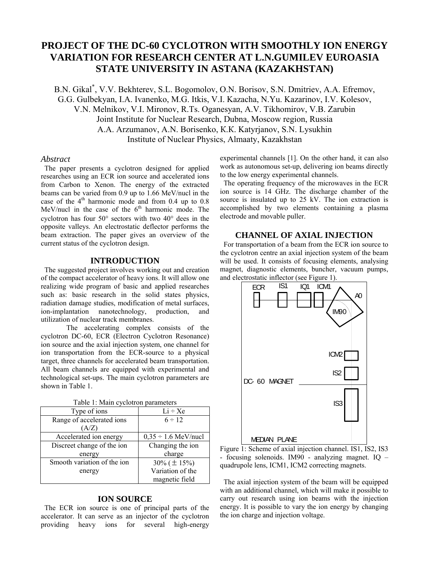# **PROJECT OF THE DC-60 CYCLOTRON WITH SMOOTHLY ION ENERGY VARIATION FOR RESEARCH CENTER AT L.N.GUMILEV EUROASIA STATE UNIVERSITY IN ASTANA (KAZAKHSTAN)**

B.N. Gikal\* , V.V. Bekhterev, S.L. Bogomolov, О.N. Borisov, S.N. Dmitriev, А.А. Efremov, G.G. Gulbekyan, I.А. Ivanenko, M.G. Itkis, V.I. Kazacha, N.Yu. Kazarinov, I.V. Kolesov, V.N. Melnikov, V.I. Mironov, R.Ts. Oganesyan, А.V. Tikhomirov, V.B. Zarubin Joint Institute for Nuclear Research, Dubna, Moscow region, Russia А.А. Arzumanov, А.N. Borisenko, К.К. Katyrjanov, S.N. Lysukhin Institute of Nuclear Physics, Almaaty, Kazakhstan

#### *Abstract*

The paper presents a cyclotron designed for applied researches using an ECR ion source and accelerated ions from Carbon to Xenon. The energy of the extracted beams can be varied from 0.9 up to 1.66 MeV/nucl in the case of the  $4<sup>th</sup>$  harmonic mode and from 0.4 up to 0.8 MeV/nucl in the case of the  $6<sup>th</sup>$  harmonic mode. The cyclotron has four 50° sectors with two 40° dees in the opposite valleys. An electrostatic deflector performs the beam extraction. The paper gives an overview of the current status of the cyclotron design.

## **INTRODUCTION**

The suggested project involves working out and creation of the compact accelerator of heavy ions. It will allow one realizing wide program of basic and applied researches such as: basic research in the solid states physics, radiation damage studies, modification of metal surfaces, ion-implantation nanotechnology, production, and utilization of nuclear track membranes.

The accelerating complex consists of the cyclotron DC-60, ECR (Electron Cyclotron Resonance) ion source and the axial injection system, one channel for ion transportation from the ECR-source to a physical target, three channels for accelerated beam transportation. All beam channels are equipped with experimental and technological set-ups. The main cyclotron parameters are shown in Table 1.

| Type of ions                | $Li \div Xe$             |
|-----------------------------|--------------------------|
| Range of accelerated ions   | $6 \div 12$              |
| A/Z                         |                          |
| Accelerated ion energy      | $0.35 \div 1.6$ MeV/nucl |
| Discreet change of the ion  | Changing the ion         |
| energy                      | charge                   |
| Smooth variation of the ion | $30\%$ ( $\pm 15\%$ )    |
| energy                      | Variation of the         |
|                             | magnetic field           |

Table 1: Main cyclotron parameters

## **ION SOURCE**

The ECR ion source is one of principal parts of the accelerator. It can serve as an injector of the cyclotron providing heavy ions for several high-energy experimental channels [1]. On the other hand, it can also work as autonomous set-up, delivering ion beams directly to the low energy experimental channels.

The operating frequency of the microwaves in the ECR ion source is 14 GHz. The discharge chamber of the source is insulated up to 25 kV. The ion extraction is accomplished by two elements containing a plasma electrode and movable puller.

# **CHANNEL OF AXIAL INJECTION**

For transportation of a beam from the ECR ion source to the cyclotron centre an axial injection system of the beam will be used. It consists of focusing elements, analysing magnet, diagnostic elements, buncher, vacuum pumps, and electrostatic inflector (see Figure 1).





The axial injection system of the beam will be equipped with an additional channel, which will make it possible to carry out research using ion beams with the injection energy. It is possible to vary the ion energy by changing the ion charge and injection voltage.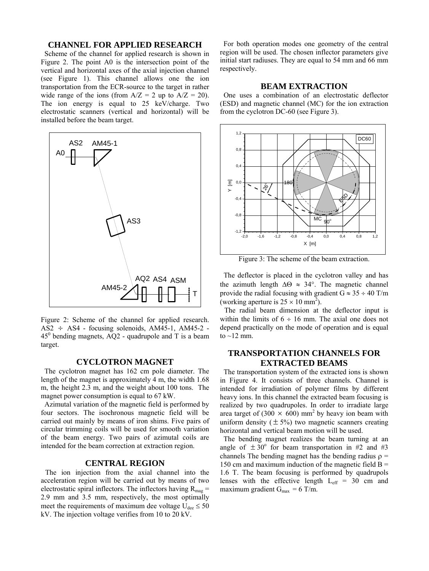## **CHANNEL FOR APPLIED RESEARCH**

Scheme of the channel for applied research is shown in Figure 2. The point A0 is the intersection point of the vertical and horizontal axes of the axial injection channel (see Figure 1). This channel allows one the ion transportation from the ECR-source to the target in rather wide range of the ions (from  $A/Z = 2$  up to  $A/Z = 20$ ). The ion energy is equal to 25 keV/charge. Two electrostatic scanners (vertical and horizontal) will be installed before the beam target.



Figure 2: Scheme of the channel for applied research.  $\overline{AS2}$   $\div$  AS4 - focusing solenoids,  $\overline{AM45}$ -1,  $\overline{AM45}$ -2 -  $\overline{AS}$  bonding meanets  $\overline{AO2}$  examinate and T is a beam  $45^{\circ}$  bending magnets, AQ2 - quadrupole and T is a beam target.

#### **CYCLOTRON MAGNET**

The cyclotron magnet has 162 cm pole diameter. The length of the magnet is approximately 4 m, the width 1.68 m, the height 2.3 m, and the weight about 100 tons. The magnet power consumption is equal to 67 kW.

Azimutal variation of the magnetic field is performed by four sectors. The isochronous magnetic field will be carried out mainly by means of iron shims. Five pairs of circular trimming coils will be used for smooth variation of the beam energy. Two pairs of azimutal coils are intended for the beam correction at extraction region.

## **CENTRAL REGION**

The ion injection from the axial channel into the acceleration region will be carried out by means of two electrostatic spiral inflectors. The inflectors having  $R_{mag}$  = 2.9 mm and 3.5 mm, respectively, the most optimally meet the requirements of maximum dee voltage  $U_{\text{dee}} \leq 50$ kV. The injection voltage verifies from 10 to 20 kV.

For both operation modes one geometry of the central region will be used. The chosen inflector parameters give initial start radiuses. They are equal to 54 mm and 66 mm respectively.

#### **BEAM EXTRACTION**

One uses a combination of an electrostatic deflector (ESD) and magnetic channel (MC) for the ion extraction from the cyclotron DC-60 (see Figure 3).



Figure 3: The scheme of the beam extraction.

The deflector is placed in the cyclotron valley and has the azimuth length  $\Delta\Theta \approx 34^\circ$ . The magnetic channel provide the radial focusing with gradient  $G \approx 35 \div 40$  T/m (working aperture is  $25 \times 10$  mm<sup>2</sup>).

 The radial beam dimension at the deflector input is within the limits of  $6 \div 16$  mm. The axial one does not depend practically on the mode of operation and is equal to  $\sim$ 12 mm.

# **TRANSPORTATION CHANNELS FOR EXTRACTED BEAMS**

The transportation system of the extracted ions is shown in Figure 4. It consists of three channels. Channel is intended for irradiation of polymer films by different heavy ions. In this channel the extracted beam focusing is realized by two quadrupoles. In order to irradiate large area target of  $(300 \times 600)$  mm<sup>2</sup> by heavy ion beam with uniform density  $(\pm 5\%)$  two magnetic scanners creating horizontal and vertical beam motion will be used.

 The bending magnet realizes the beam turning at an angle of  $\pm 30^{\circ}$  for beam transportation in #2 and #3 channels The bending magnet has the bending radius  $\rho$  = 150 cm and maximum induction of the magnetic field  $B =$ 1.6 T. The beam focusing is performed by quadrupols lenses with the effective length  $L_{eff}$  = 30 cm and maximum gradient  $G_{\text{max}} = 6$  T/m.